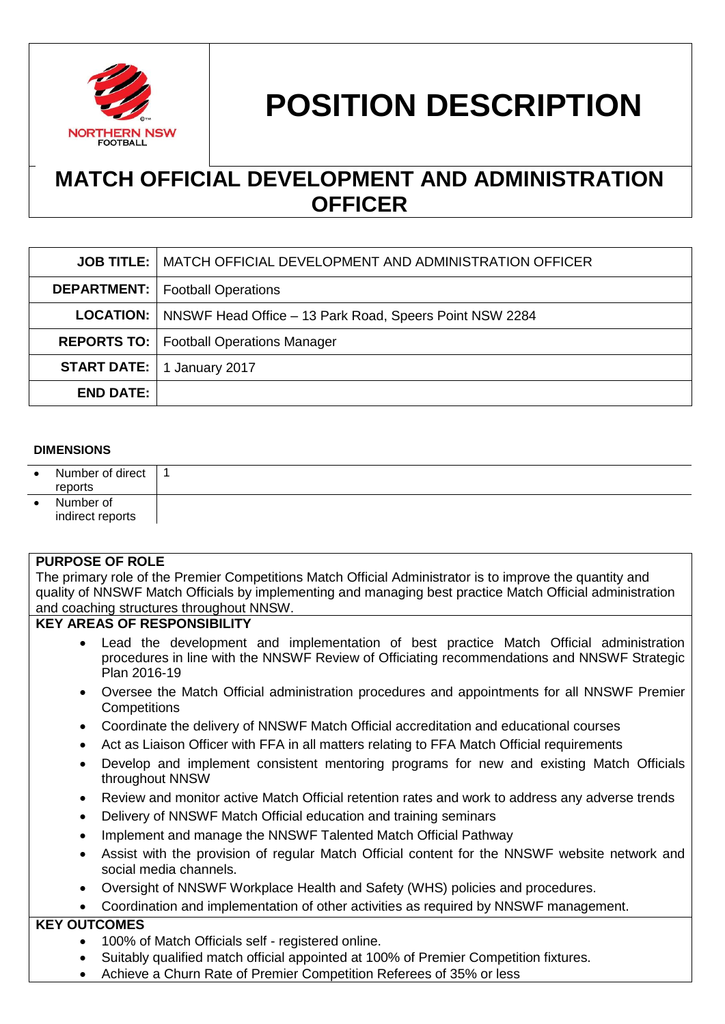

# **POSITION DESCRIPTION**

## **MATCH OFFICIAL DEVELOPMENT AND ADMINISTRATION OFFICER**

|                  | <b>JOB TITLE:   MATCH OFFICIAL DEVELOPMENT AND ADMINISTRATION OFFICER</b> |  |
|------------------|---------------------------------------------------------------------------|--|
|                  | <b>DEPARTMENT:</b>   Football Operations                                  |  |
|                  | <b>LOCATION:</b> NNSWF Head Office – 13 Park Road, Speers Point NSW 2284  |  |
|                  | <b>REPORTS TO:</b>   Football Operations Manager                          |  |
|                  | <b>START DATE:</b>   1 January 2017                                       |  |
| <b>END DATE:</b> |                                                                           |  |

#### **DIMENSIONS**

| $\bullet$ | Number of direct<br>reports   |  |
|-----------|-------------------------------|--|
| ٠         | Number of<br>indirect reports |  |

#### **PURPOSE OF ROLE**

The primary role of the Premier Competitions Match Official Administrator is to improve the quantity and quality of NNSWF Match Officials by implementing and managing best practice Match Official administration and coaching structures throughout NNSW.

#### **KEY AREAS OF RESPONSIBILITY**

- Lead the development and implementation of best practice Match Official administration procedures in line with the NNSWF Review of Officiating recommendations and NNSWF Strategic Plan 2016-19
- Oversee the Match Official administration procedures and appointments for all NNSWF Premier **Competitions**
- Coordinate the delivery of NNSWF Match Official accreditation and educational courses
- Act as Liaison Officer with FFA in all matters relating to FFA Match Official requirements
- Develop and implement consistent mentoring programs for new and existing Match Officials throughout NNSW
- Review and monitor active Match Official retention rates and work to address any adverse trends
- Delivery of NNSWF Match Official education and training seminars
- Implement and manage the NNSWF Talented Match Official Pathway
- Assist with the provision of regular Match Official content for the NNSWF website network and social media channels.
- Oversight of NNSWF Workplace Health and Safety (WHS) policies and procedures.
- Coordination and implementation of other activities as required by NNSWF management.

### **KEY OUTCOMES**

- 100% of Match Officials self registered online.
- Suitably qualified match official appointed at 100% of Premier Competition fixtures.
- Achieve a Churn Rate of Premier Competition Referees of 35% or less